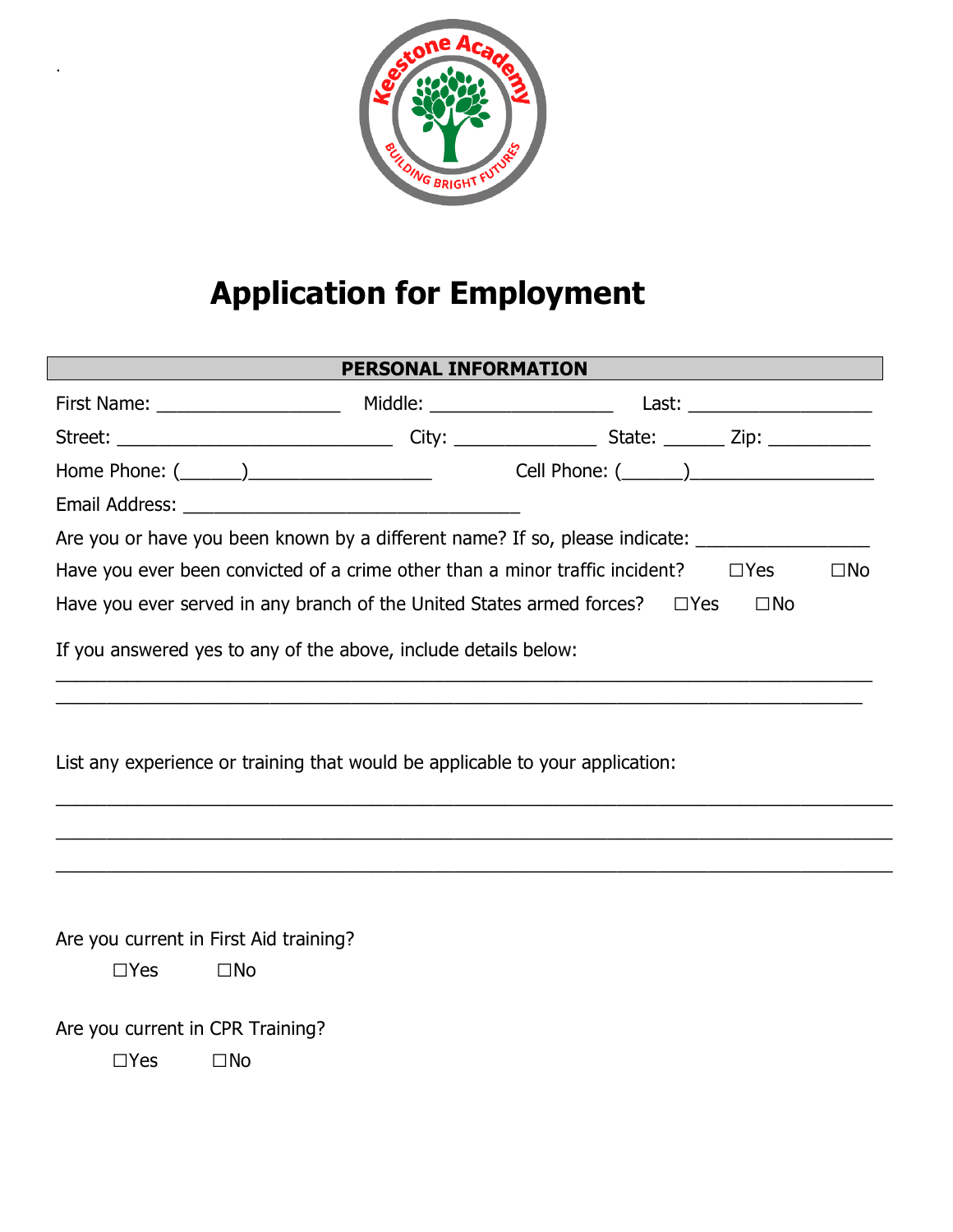

.

## **Application for Employment**

| PERSONAL INFORMATION                                                                                       |                                                                                                      |  |              |  |  |  |  |  |  |
|------------------------------------------------------------------------------------------------------------|------------------------------------------------------------------------------------------------------|--|--------------|--|--|--|--|--|--|
|                                                                                                            |                                                                                                      |  |              |  |  |  |  |  |  |
|                                                                                                            | Street: ________________________________City: ____________________State: _________Zip: _____________ |  |              |  |  |  |  |  |  |
|                                                                                                            |                                                                                                      |  |              |  |  |  |  |  |  |
|                                                                                                            |                                                                                                      |  |              |  |  |  |  |  |  |
|                                                                                                            | Are you or have you been known by a different name? If so, please indicate: ________________________ |  |              |  |  |  |  |  |  |
| Have you ever been convicted of a crime other than a minor traffic incident? $\square$ Yes<br>$\square$ No |                                                                                                      |  |              |  |  |  |  |  |  |
|                                                                                                            | Have you ever served in any branch of the United States armed forces? $\square$ Yes                  |  | $\square$ No |  |  |  |  |  |  |
| If you answered yes to any of the above, include details below:                                            |                                                                                                      |  |              |  |  |  |  |  |  |
| List any experience or training that would be applicable to your application:                              |                                                                                                      |  |              |  |  |  |  |  |  |
|                                                                                                            |                                                                                                      |  |              |  |  |  |  |  |  |
| Are you current in First Aid training?                                                                     |                                                                                                      |  |              |  |  |  |  |  |  |
| $\Box$ Yes                                                                                                 | $\square$ No                                                                                         |  |              |  |  |  |  |  |  |
| Are you current in CPR Training?                                                                           |                                                                                                      |  |              |  |  |  |  |  |  |
| $\Box$ Yes                                                                                                 | $\square$ No                                                                                         |  |              |  |  |  |  |  |  |